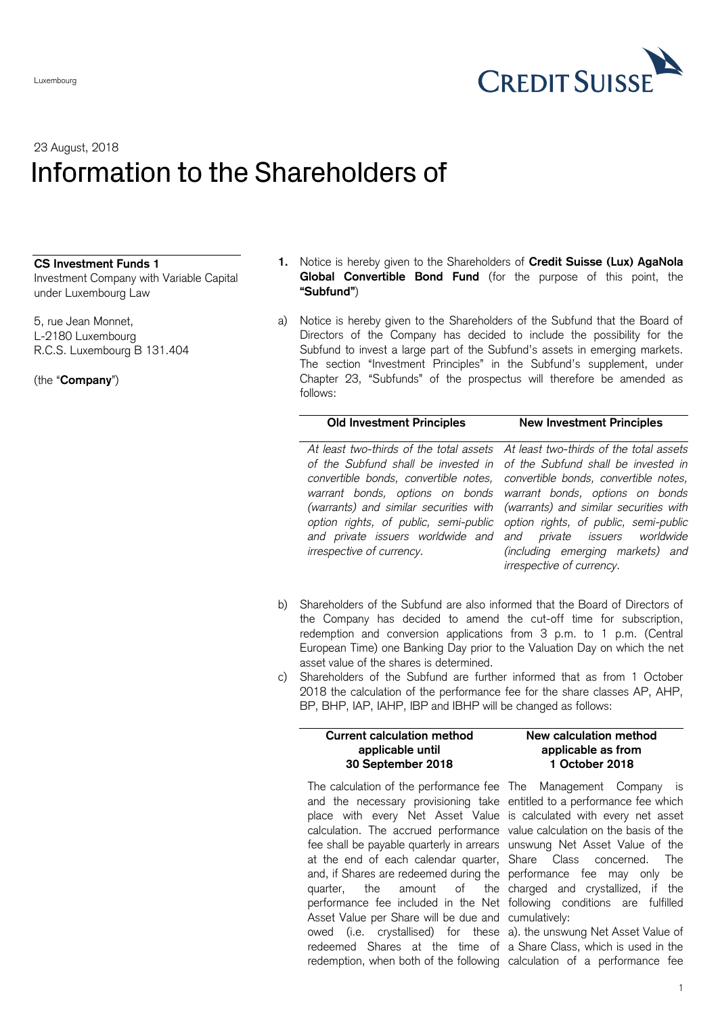

# 23 August, 2018 Information to the Shareholders of

### **CS Investment Funds 1**

Investment Company with Variable Capital under Luxembourg Law

5, rue Jean Monnet, L-2180 Luxembourg R.C.S. Luxembourg B 131.404

(the "**Company**")

- **1.** Notice is hereby given to the Shareholders of **Credit Suisse (Lux) AgaNola Global Convertible Bond Fund** (for the purpose of this point, the **"Subfund"**)
- <span id="page-0-0"></span>a) Notice is hereby given to the Shareholders of the Subfund that the Board of Directors of the Company has decided to include the possibility for the Subfund to invest a large part of the Subfund's assets in emerging markets. The section "Investment Principles" in the Subfund's supplement, under Chapter 23, "Subfunds" of the prospectus will therefore be amended as follows:

### **Old Investment Principles New Investment Principles**

*At least two-thirds of the total assets of the Subfund shall be invested in convertible bonds, convertible notes, warrant bonds, options on bonds (warrants) and similar securities with option rights, of public, semi-public and private issuers worldwide and irrespective of currency.*

*At least two-thirds of the total assets of the Subfund shall be invested in convertible bonds, convertible notes, warrant bonds, options on bonds (warrants) and similar securities with option rights, of public, semi-public and private issuers worldwide (including emerging markets) and irrespective of currency.*

- b) Shareholders of the Subfund are also informed that the Board of Directors of the Company has decided to amend the cut-off time for subscription, redemption and conversion applications from 3 p.m. to 1 p.m. (Central European Time) one Banking Day prior to the Valuation Day on which the net asset value of the shares is determined.
- c) Shareholders of the Subfund are further informed that as from 1 October 2018 the calculation of the performance fee for the share classes AP, AHP, BP, BHP, IAP, IAHP, IBP and IBHP will be changed as follows:

## **Current calculation method applicable until 30 September 2018**

# The calculation of the performance fee The Management Company is and the necessary provisioning take entitled to a performance fee which place with every Net Asset Value is calculated with every net asset calculation. The accrued performance value calculation on the basis of the fee shall be payable quarterly in arrears unswung Net Asset Value of the at the end of each calendar quarter, Share Class concerned. The and, if Shares are redeemed during the performance fee may only be quarter, the amount of performance fee included in the Net following conditions are fulfilled Asset Value per Share will be due and cumulatively: owed (i.e. crystallised) for these a). the unswung Net Asset Value of redeemed Shares at the time of a Share Class, which is used in the redemption, when both of the following calculation of a performance fee

**applicable as from 1 October 2018**

**New calculation method** 

the charged and crystallized, if the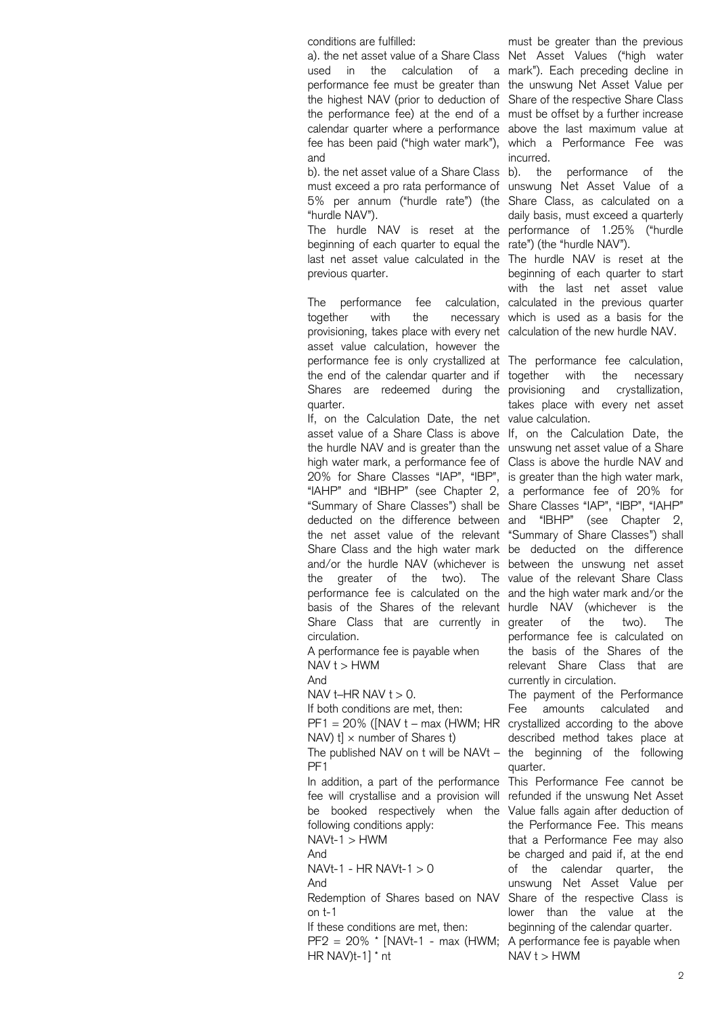conditions are fulfilled:

a). the net asset value of a Share Class Net Asset Values ("high water used in the calculation of a mark"). Each preceding decline in performance fee must be greater than the unswung Net Asset Value per the highest NAV (prior to deduction of Share of the respective Share Class the performance fee) at the end of a must be offset by a further increase calendar quarter where a performance above the last maximum value at fee has been paid ("high water mark"), which a Performance Fee was and

b). the net asset value of a Share Class must exceed a pro rata performance of unswung Net Asset Value of a 5% per annum ("hurdle rate") (the "hurdle NAV").

The hurdle NAV is reset at the beginning of each quarter to equal the rate") (the "hurdle NAV"). last net asset value calculated in the The hurdle NAV is reset at the previous quarter.

The performance fee together with the necessary which is used as a basis for the provisioning, takes place with every net calculation of the new hurdle NAV. asset value calculation, however the performance fee is only crystallized at The performance fee calculation, the end of the calendar quarter and if together with the necessary Shares are redeemed during the provisioning and crystallization, quarter.

If, on the Calculation Date, the net value calculation. asset value of a Share Class is above If, on the Calculation Date, the the hurdle NAV and is greater than the unswung net asset value of a Share high water mark, a performance fee of Class is above the hurdle NAV and 20% for Share Classes "IAP", "IBP", is greater than the high water mark, "IAHP" and "IBHP" (see Chapter 2, a performance fee of 20% for "Summary of Share Classes") shall be Share Classes "IAP", "IBP", "IAHP" deducted on the difference between and "IBHP" (see Chapter 2, the net asset value of the relevant "Summary of Share Classes") shall Share Class and the high water mark be deducted on the difference and/or the hurdle NAV (whichever is between the unswung net asset the greater of the two). The value of the relevant Share Class performance fee is calculated on the and the high water mark and/or the basis of the Shares of the relevant hurdle NAV (whichever is the Share Class that are currently in greater of the two). The circulation.

A performance fee is payable when  $NAV t > HWM$ 

And

NAV  $t$ –HR NAV  $t > 0$ .

If both conditions are met, then:  $PF1 = 20\%$  ([NAV t – max (HWM; HR crystallized according to the above

NAV)  $t$   $\times$  number of Shares  $t$ ) The published NAV on t will be NAVt –

PF1

In addition, a part of the performance fee will crystallise and a provision will be booked respectively when the following conditions apply:

 $NAVt-1 > HWM$ 

And

 $NAVt-1 - HR$   $NAVt-1 > 0$ And

Redemption of Shares based on NAV on t-1

If these conditions are met, then:

 $PF2 = 20\%$  \* [NAVt-1 - max (HWM; A performance fee is payable when HR NAV)t-1] \* nt

must be greater than the previous incurred.

b). the performance of the Share Class, as calculated on a daily basis, must exceed a quarterly performance of 1.25% ("hurdle

beginning of each quarter to start with the last net asset value calculation, calculated in the previous quarter

takes place with every net asset

performance fee is calculated on the basis of the Shares of the relevant Share Class that are currently in circulation.

The payment of the Performance Fee amounts calculated and described method takes place at the beginning of the following quarter.

This Performance Fee cannot be refunded if the unswung Net Asset Value falls again after deduction of the Performance Fee. This means that a Performance Fee may also be charged and paid if, at the end of the calendar quarter, the unswung Net Asset Value per Share of the respective Class is lower than the value at the beginning of the calendar quarter.  $NAV t > HWM$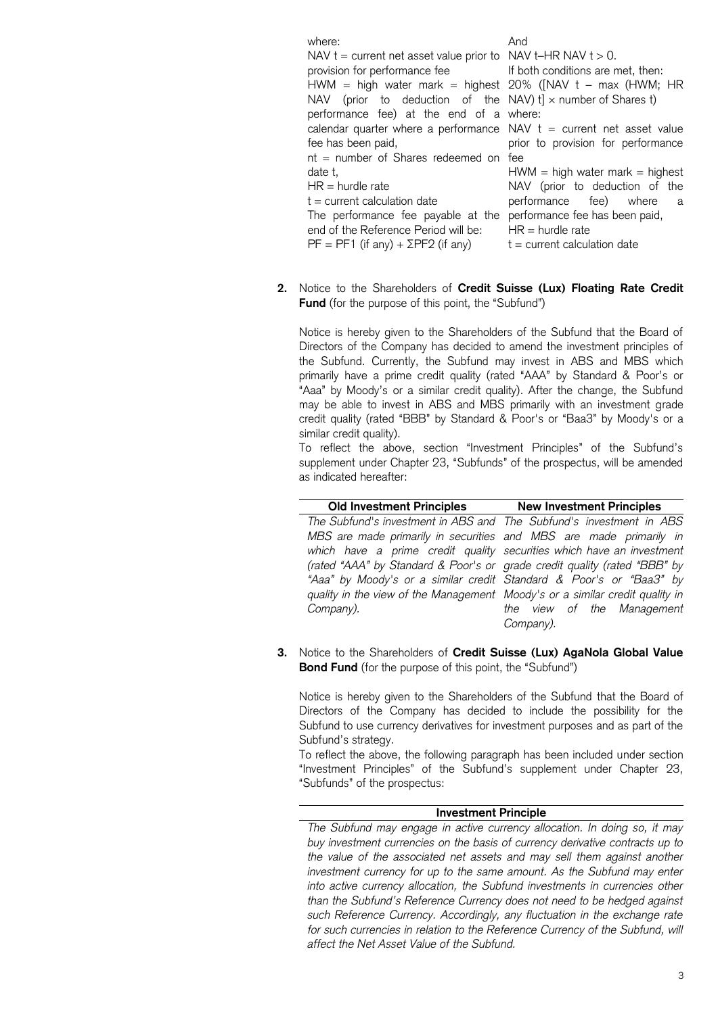where: NAV  $t =$  current net asset value prior to  $NAV t = HR NAV t > 0$ . provision for performance fee HWM = high water mark = highest 20% ([NAV t – max (HWM; HR NAV (prior to deduction of the NAV)  $t$ ]  $\times$  number of Shares  $t$ ) performance fee) at the end of a where: calendar quarter where a performance fee has been paid, nt = number of Shares redeemed on fee date t,  $HR =$  hurdle rate  $t =$  current calculation date The performance fee payable at the end of the Reference Period will be:  $PF = PF1$  (if any) +  $\Sigma PF2$  (if any) And If both conditions are met, then: NAV  $t =$  current net asset value prior to provision for performance  $HWM = high water mark = highest$ NAV (prior to deduction of the performance fee) where a performance fee has been paid,  $HR =$  hurdle rate  $t =$  current calculation date

**2.** Notice to the Shareholders of **Credit Suisse (Lux) Floating Rate Credit Fund** (for the purpose of this point, the "Subfund")

Notice is hereby given to the Shareholders of the Subfund that the Board of Directors of the Company has decided to amend the investment principles of the Subfund. Currently, the Subfund may invest in ABS and MBS which primarily have a prime credit quality (rated "AAA" by Standard & Poor's or "Aaa" by Moody's or a similar credit quality). After the change, the Subfund may be able to invest in ABS and MBS primarily with an investment grade credit quality (rated "BBB" by Standard & Poor's or "Baa3" by Moody's or a similar credit quality).

To reflect the above, section "Investment Principles" of the Subfund's supplement under Chapter 23, "Subfunds" of the prospectus, will be amended as indicated hereafter:

| Old Investment Principles New Investment Principles                          |                            |
|------------------------------------------------------------------------------|----------------------------|
| The Subfund's investment in ABS and The Subfund's investment in ABS          |                            |
| MBS are made primarily in securities and MBS are made primarily in           |                            |
| which have a prime credit quality securities which have an investment        |                            |
| (rated "AAA" by Standard & Poor's or grade credit quality (rated "BBB" by    |                            |
| "Aaa" by Moody's or a similar credit Standard & Poor's or "Baa3" by          |                            |
| quality in the view of the Management Moody's or a similar credit quality in |                            |
| Company).                                                                    | the view of the Management |
|                                                                              | Company).                  |

**3.** Notice to the Shareholders of **Credit Suisse (Lux) AgaNola Global Value Bond Fund** (for the purpose of this point, the "Subfund")

Notice is hereby given to the Shareholders of the Subfund that the Board of Directors of the Company has decided to include the possibility for the Subfund to use currency derivatives for investment purposes and as part of the Subfund's strategy.

To reflect the above, the following paragraph has been included under section "Investment Principles" of the Subfund's supplement under Chapter 23, "Subfunds" of the prospectus:

### **Investment Principle**

*The Subfund may engage in active currency allocation. In doing so, it may buy investment currencies on the basis of currency derivative contracts up to the value of the associated net assets and may sell them against another investment currency for up to the same amount. As the Subfund may enter into active currency allocation, the Subfund investments in currencies other than the Subfund's Reference Currency does not need to be hedged against such Reference Currency. Accordingly, any fluctuation in the exchange rate*  for such currencies in relation to the Reference Currency of the Subfund, will *affect the Net Asset Value of the Subfund.*